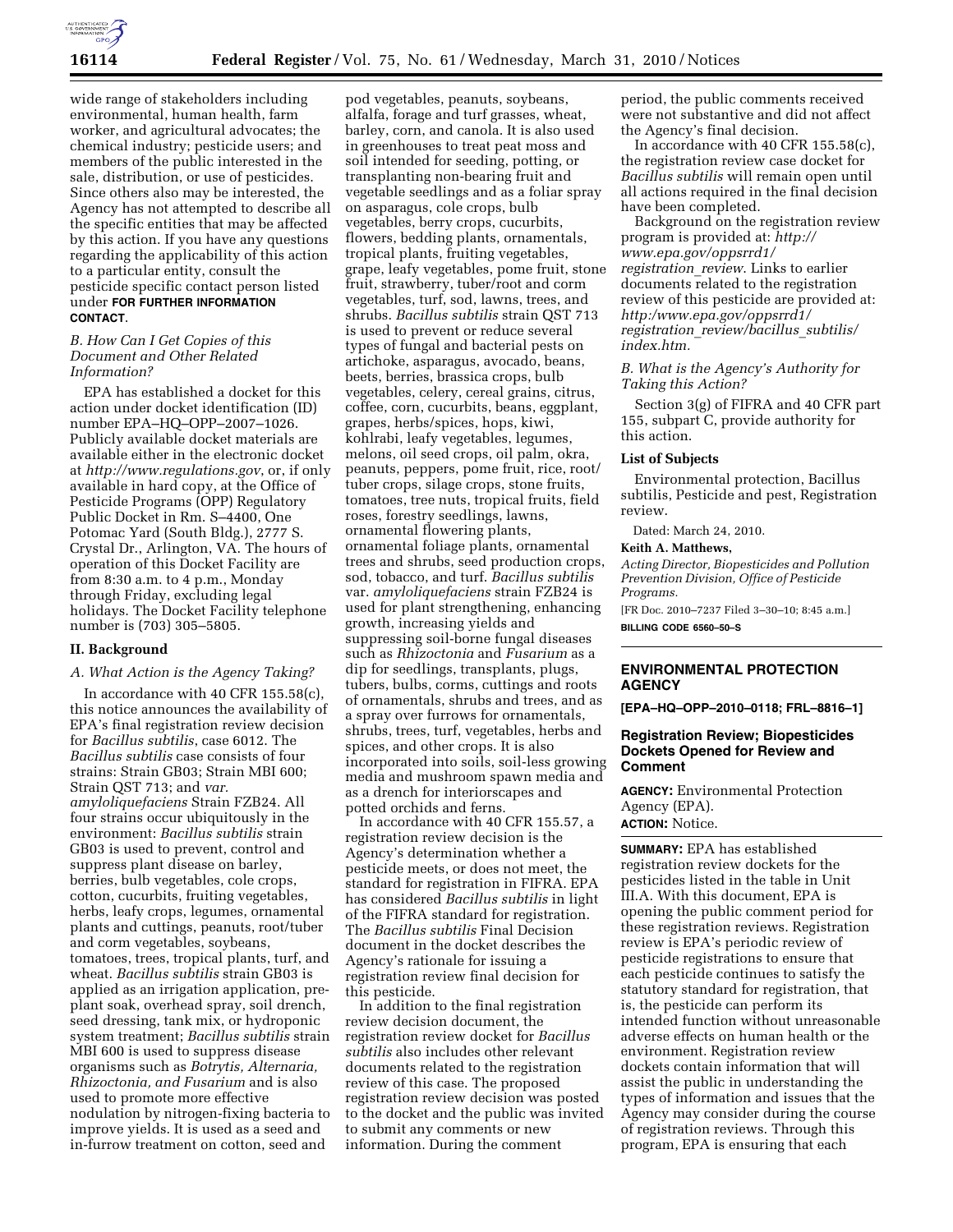

wide range of stakeholders including environmental, human health, farm worker, and agricultural advocates; the chemical industry; pesticide users; and members of the public interested in the sale, distribution, or use of pesticides. Since others also may be interested, the Agency has not attempted to describe all the specific entities that may be affected by this action. If you have any questions regarding the applicability of this action to a particular entity, consult the pesticide specific contact person listed under **FOR FURTHER INFORMATION CONTACT**.

# *B. How Can I Get Copies of this Document and Other Related Information?*

EPA has established a docket for this action under docket identification (ID) number EPA–HQ–OPP–2007–1026. Publicly available docket materials are available either in the electronic docket at *http://www.regulations.gov*, or, if only available in hard copy, at the Office of Pesticide Programs (OPP) Regulatory Public Docket in Rm. S–4400, One Potomac Yard (South Bldg.), 2777 S. Crystal Dr., Arlington, VA. The hours of operation of this Docket Facility are from 8:30 a.m. to 4 p.m., Monday through Friday, excluding legal holidays. The Docket Facility telephone number is (703) 305–5805.

# **II. Background**

## *A. What Action is the Agency Taking?*

In accordance with 40 CFR 155.58(c), this notice announces the availability of EPA's final registration review decision for *Bacillus subtilis*, case 6012. The *Bacillus subtilis* case consists of four strains: Strain GB03; Strain MBI 600; Strain QST 713; and *var. amyloliquefaciens* Strain FZB24. All four strains occur ubiquitously in the environment: *Bacillus subtilis* strain GB03 is used to prevent, control and suppress plant disease on barley, berries, bulb vegetables, cole crops, cotton, cucurbits, fruiting vegetables, herbs, leafy crops, legumes, ornamental plants and cuttings, peanuts, root/tuber and corm vegetables, soybeans, tomatoes, trees, tropical plants, turf, and wheat. *Bacillus subtilis* strain GB03 is applied as an irrigation application, preplant soak, overhead spray, soil drench, seed dressing, tank mix, or hydroponic system treatment; *Bacillus subtilis* strain MBI 600 is used to suppress disease organisms such as *Botrytis, Alternaria, Rhizoctonia, and Fusarium* and is also used to promote more effective nodulation by nitrogen-fixing bacteria to improve yields. It is used as a seed and in-furrow treatment on cotton, seed and

pod vegetables, peanuts, soybeans, alfalfa, forage and turf grasses, wheat, barley, corn, and canola. It is also used in greenhouses to treat peat moss and soil intended for seeding, potting, or transplanting non-bearing fruit and vegetable seedlings and as a foliar spray on asparagus, cole crops, bulb vegetables, berry crops, cucurbits, flowers, bedding plants, ornamentals, tropical plants, fruiting vegetables, grape, leafy vegetables, pome fruit, stone fruit, strawberry, tuber/root and corm vegetables, turf, sod, lawns, trees, and shrubs. *Bacillus subtilis* strain QST 713 is used to prevent or reduce several types of fungal and bacterial pests on artichoke, asparagus, avocado, beans, beets, berries, brassica crops, bulb vegetables, celery, cereal grains, citrus, coffee, corn, cucurbits, beans, eggplant, grapes, herbs/spices, hops, kiwi, kohlrabi, leafy vegetables, legumes, melons, oil seed crops, oil palm, okra, peanuts, peppers, pome fruit, rice, root/ tuber crops, silage crops, stone fruits, tomatoes, tree nuts, tropical fruits, field roses, forestry seedlings, lawns, ornamental flowering plants, ornamental foliage plants, ornamental trees and shrubs, seed production crops, sod, tobacco, and turf. *Bacillus subtilis*  var. *amyloliquefaciens* strain FZB24 is used for plant strengthening, enhancing growth, increasing yields and suppressing soil-borne fungal diseases such as *Rhizoctonia* and *Fusarium* as a dip for seedlings, transplants, plugs, tubers, bulbs, corms, cuttings and roots of ornamentals, shrubs and trees, and as a spray over furrows for ornamentals, shrubs, trees, turf, vegetables, herbs and spices, and other crops. It is also incorporated into soils, soil-less growing media and mushroom spawn media and as a drench for interiorscapes and potted orchids and ferns.

In accordance with 40 CFR 155.57, a registration review decision is the Agency's determination whether a pesticide meets, or does not meet, the standard for registration in FIFRA. EPA has considered *Bacillus subtilis* in light of the FIFRA standard for registration. The *Bacillus subtilis* Final Decision document in the docket describes the Agency's rationale for issuing a registration review final decision for this pesticide.

In addition to the final registration review decision document, the registration review docket for *Bacillus subtilis* also includes other relevant documents related to the registration review of this case. The proposed registration review decision was posted to the docket and the public was invited to submit any comments or new information. During the comment

period, the public comments received were not substantive and did not affect the Agency's final decision.

In accordance with 40 CFR 155.58(c), the registration review case docket for *Bacillus subtilis* will remain open until all actions required in the final decision have been completed.

Background on the registration review program is provided at: *http:// www.epa.gov/oppsrrd1/ registration*\_*review*. Links to earlier documents related to the registration review of this pesticide are provided at: *http:/www.epa.gov/oppsrrd1/ registration*\_*review/bacillus*\_*subtilis/ index.htm.* 

# *B. What is the Agency's Authority for Taking this Action?*

Section 3(g) of FIFRA and 40 CFR part 155, subpart C, provide authority for this action.

# **List of Subjects**

Environmental protection, Bacillus subtilis, Pesticide and pest, Registration review.

Dated: March 24, 2010.

# **Keith A. Matthews,**

*Acting Director, Biopesticides and Pollution Prevention Division, Office of Pesticide Programs.* 

[FR Doc. 2010–7237 Filed 3–30–10; 8:45 a.m.] **BILLING CODE 6560–50–S** 

# **ENVIRONMENTAL PROTECTION AGENCY**

**[EPA–HQ–OPP–2010–0118; FRL–8816–1]** 

# **Registration Review; Biopesticides Dockets Opened for Review and Comment**

**AGENCY:** Environmental Protection Agency (EPA). **ACTION:** Notice.

**SUMMARY:** EPA has established registration review dockets for the pesticides listed in the table in Unit III.A. With this document, EPA is opening the public comment period for these registration reviews. Registration review is EPA's periodic review of pesticide registrations to ensure that each pesticide continues to satisfy the statutory standard for registration, that is, the pesticide can perform its intended function without unreasonable adverse effects on human health or the environment. Registration review dockets contain information that will assist the public in understanding the types of information and issues that the Agency may consider during the course of registration reviews. Through this program, EPA is ensuring that each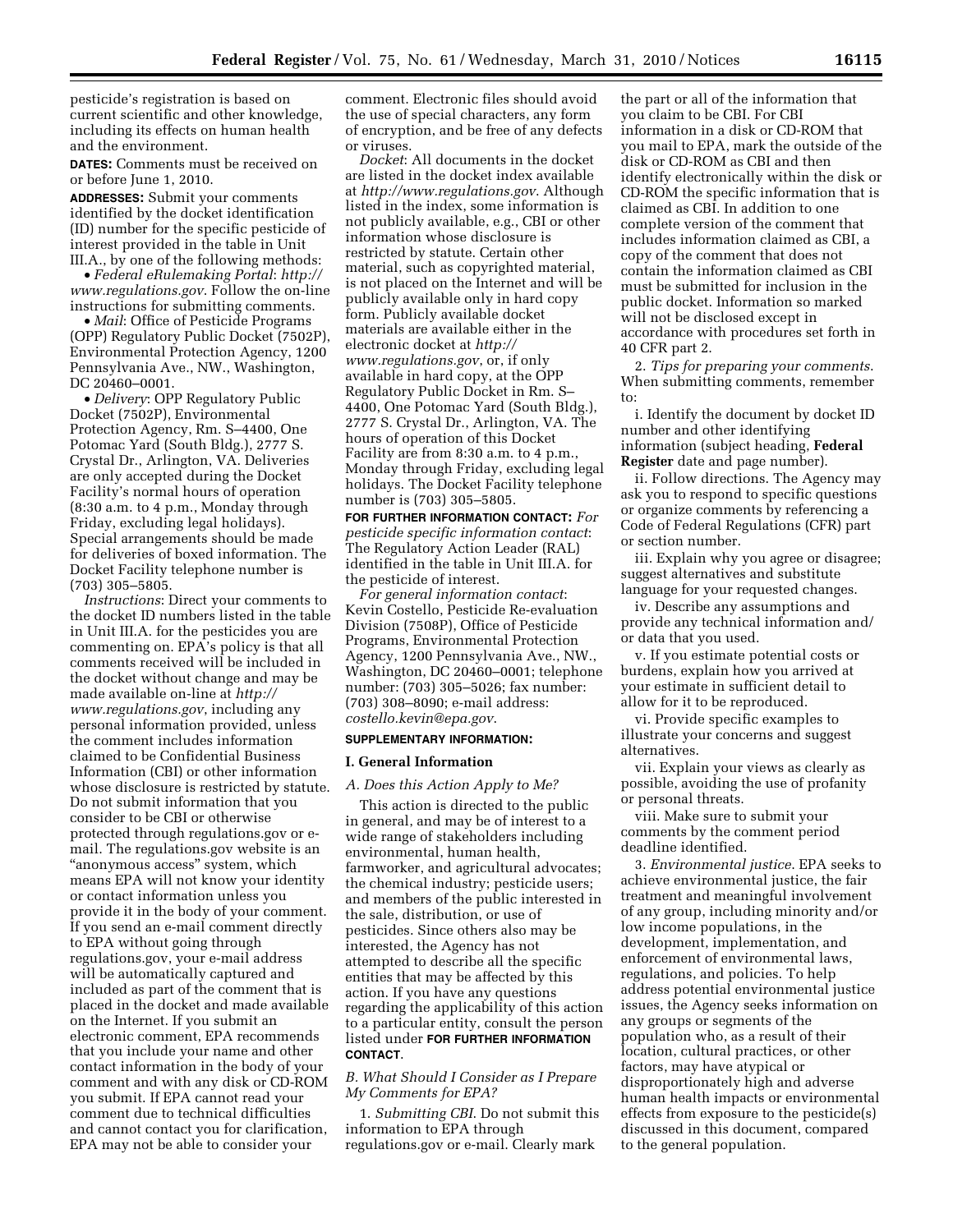pesticide's registration is based on current scientific and other knowledge, including its effects on human health and the environment.

**DATES:** Comments must be received on or before June 1, 2010.

**ADDRESSES:** Submit your comments identified by the docket identification (ID) number for the specific pesticide of interest provided in the table in Unit III.A., by one of the following methods:

• *Federal eRulemaking Portal*: *http:// www.regulations.gov*. Follow the on-line instructions for submitting comments.

• *Mail*: Office of Pesticide Programs (OPP) Regulatory Public Docket (7502P), Environmental Protection Agency, 1200 Pennsylvania Ave., NW., Washington, DC 20460–0001.

• *Delivery*: OPP Regulatory Public Docket (7502P), Environmental Protection Agency, Rm. S–4400, One Potomac Yard (South Bldg.), 2777 S. Crystal Dr., Arlington, VA. Deliveries are only accepted during the Docket Facility's normal hours of operation (8:30 a.m. to 4 p.m., Monday through Friday, excluding legal holidays). Special arrangements should be made for deliveries of boxed information. The Docket Facility telephone number is (703) 305–5805.

*Instructions*: Direct your comments to the docket ID numbers listed in the table in Unit III.A. for the pesticides you are commenting on. EPA's policy is that all comments received will be included in the docket without change and may be made available on-line at *http:// www.regulations.gov*, including any personal information provided, unless the comment includes information claimed to be Confidential Business Information (CBI) or other information whose disclosure is restricted by statute. Do not submit information that you consider to be CBI or otherwise protected through regulations.gov or email. The regulations.gov website is an ''anonymous access'' system, which means EPA will not know your identity or contact information unless you provide it in the body of your comment. If you send an e-mail comment directly to EPA without going through regulations.gov, your e-mail address will be automatically captured and included as part of the comment that is placed in the docket and made available on the Internet. If you submit an electronic comment, EPA recommends that you include your name and other contact information in the body of your comment and with any disk or CD-ROM you submit. If EPA cannot read your comment due to technical difficulties and cannot contact you for clarification, EPA may not be able to consider your

comment. Electronic files should avoid the use of special characters, any form of encryption, and be free of any defects or viruses.

*Docket*: All documents in the docket are listed in the docket index available at *http://www.regulations.gov*. Although listed in the index, some information is not publicly available, e.g., CBI or other information whose disclosure is restricted by statute. Certain other material, such as copyrighted material, is not placed on the Internet and will be publicly available only in hard copy form. Publicly available docket materials are available either in the electronic docket at *http:// www.regulations.gov*, or, if only available in hard copy, at the OPP Regulatory Public Docket in Rm. S– 4400, One Potomac Yard (South Bldg.), 2777 S. Crystal Dr., Arlington, VA. The hours of operation of this Docket Facility are from 8:30 a.m. to 4 p.m., Monday through Friday, excluding legal holidays. The Docket Facility telephone number is (703) 305–5805.

**FOR FURTHER INFORMATION CONTACT:** *For pesticide specific information contact*: The Regulatory Action Leader (RAL) identified in the table in Unit III.A. for the pesticide of interest.

*For general information contact*: Kevin Costello, Pesticide Re-evaluation Division (7508P), Office of Pesticide Programs, Environmental Protection Agency, 1200 Pennsylvania Ave., NW., Washington, DC 20460–0001; telephone number: (703) 305–5026; fax number: (703) 308–8090; e-mail address: *costello.kevin@epa.gov*.

## **SUPPLEMENTARY INFORMATION:**

### **I. General Information**

## *A. Does this Action Apply to Me?*

This action is directed to the public in general, and may be of interest to a wide range of stakeholders including environmental, human health, farmworker, and agricultural advocates; the chemical industry; pesticide users; and members of the public interested in the sale, distribution, or use of pesticides. Since others also may be interested, the Agency has not attempted to describe all the specific entities that may be affected by this action. If you have any questions regarding the applicability of this action to a particular entity, consult the person listed under **FOR FURTHER INFORMATION CONTACT**.

# *B. What Should I Consider as I Prepare My Comments for EPA?*

1. *Submitting CBI*. Do not submit this information to EPA through regulations.gov or e-mail. Clearly mark

the part or all of the information that you claim to be CBI. For CBI information in a disk or CD-ROM that you mail to EPA, mark the outside of the disk or CD-ROM as CBI and then identify electronically within the disk or CD-ROM the specific information that is claimed as CBI. In addition to one complete version of the comment that includes information claimed as CBI, a copy of the comment that does not contain the information claimed as CBI must be submitted for inclusion in the public docket. Information so marked will not be disclosed except in accordance with procedures set forth in 40 CFR part 2.

2. *Tips for preparing your comments*. When submitting comments, remember to:

i. Identify the document by docket ID number and other identifying information (subject heading, **Federal Register** date and page number).

ii. Follow directions. The Agency may ask you to respond to specific questions or organize comments by referencing a Code of Federal Regulations (CFR) part or section number.

iii. Explain why you agree or disagree; suggest alternatives and substitute language for your requested changes.

iv. Describe any assumptions and provide any technical information and/ or data that you used.

v. If you estimate potential costs or burdens, explain how you arrived at your estimate in sufficient detail to allow for it to be reproduced.

vi. Provide specific examples to illustrate your concerns and suggest alternatives.

vii. Explain your views as clearly as possible, avoiding the use of profanity or personal threats.

viii. Make sure to submit your comments by the comment period deadline identified.

3. *Environmental justice*. EPA seeks to achieve environmental justice, the fair treatment and meaningful involvement of any group, including minority and/or low income populations, in the development, implementation, and enforcement of environmental laws, regulations, and policies. To help address potential environmental justice issues, the Agency seeks information on any groups or segments of the population who, as a result of their location, cultural practices, or other factors, may have atypical or disproportionately high and adverse human health impacts or environmental effects from exposure to the pesticide(s) discussed in this document, compared to the general population.